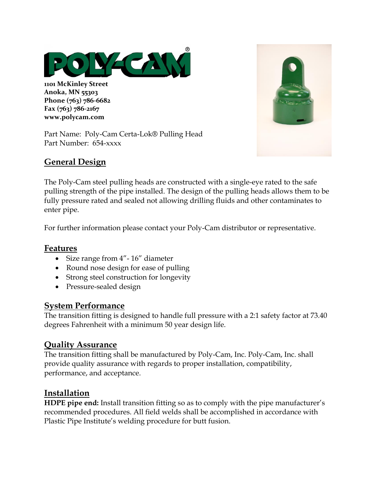

**1101 McKinley Street Anoka, MN 55303 Phone (763) 786-6682 Fax (763) 786-2167 www.polycam.com**





### **General Design**

The Poly-Cam steel pulling heads are constructed with a single-eye rated to the safe pulling strength of the pipe installed. The design of the pulling heads allows them to be fully pressure rated and sealed not allowing drilling fluids and other contaminates to enter pipe.

For further information please contact your Poly-Cam distributor or representative.

### **Features**

- Size range from  $4'' 16''$  diameter
- Round nose design for ease of pulling
- Strong steel construction for longevity
- Pressure-sealed design

#### **System Performance**

The transition fitting is designed to handle full pressure with a 2:1 safety factor at 73.40 degrees Fahrenheit with a minimum 50 year design life.

### **Quality Assurance**

The transition fitting shall be manufactured by Poly-Cam, Inc. Poly-Cam, Inc. shall provide quality assurance with regards to proper installation, compatibility, performance, and acceptance.

## **Installation**

**HDPE pipe end:** Install transition fitting so as to comply with the pipe manufacturer's recommended procedures. All field welds shall be accomplished in accordance with Plastic Pipe Institute's welding procedure for butt fusion.